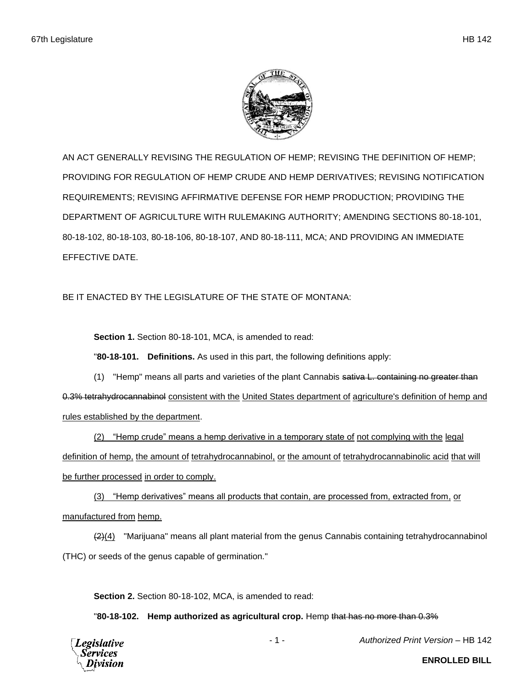

AN ACT GENERALLY REVISING THE REGULATION OF HEMP; REVISING THE DEFINITION OF HEMP; PROVIDING FOR REGULATION OF HEMP CRUDE AND HEMP DERIVATIVES; REVISING NOTIFICATION REQUIREMENTS; REVISING AFFIRMATIVE DEFENSE FOR HEMP PRODUCTION; PROVIDING THE DEPARTMENT OF AGRICULTURE WITH RULEMAKING AUTHORITY; AMENDING SECTIONS 80-18-101, 80-18-102, 80-18-103, 80-18-106, 80-18-107, AND 80-18-111, MCA; AND PROVIDING AN IMMEDIATE EFFECTIVE DATE.

BE IT ENACTED BY THE LEGISLATURE OF THE STATE OF MONTANA:

**Section 1.** Section 80-18-101, MCA, is amended to read:

"**80-18-101. Definitions.** As used in this part, the following definitions apply:

(1) "Hemp" means all parts and varieties of the plant Cannabis sativa L. containing no greater than 0.3% tetrahydrocannabinol consistent with the United States department of agriculture's definition of hemp and rules established by the department.

(2) "Hemp crude" means a hemp derivative in a temporary state of not complying with the legal definition of hemp, the amount of tetrahydrocannabinol, or the amount of tetrahydrocannabinolic acid that will be further processed in order to comply.

(3) "Hemp derivatives" means all products that contain, are processed from, extracted from, or manufactured from hemp.

 $(2)(4)$  "Marijuana" means all plant material from the genus Cannabis containing tetrahydrocannabinol (THC) or seeds of the genus capable of germination."

**Section 2.** Section 80-18-102, MCA, is amended to read:

"**80-18-102. Hemp authorized as agricultural crop.** Hemp that has no more than 0.3%



- 1 - *Authorized Print Version* – HB 142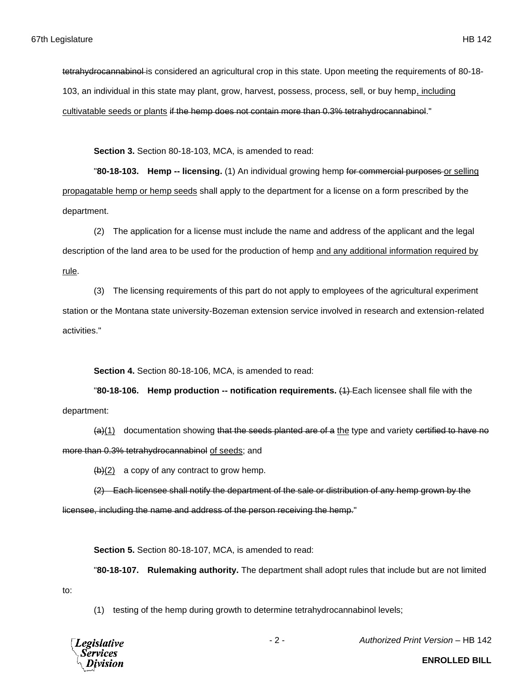tetrahydrocannabinol is considered an agricultural crop in this state. Upon meeting the requirements of 80-18-103, an individual in this state may plant, grow, harvest, possess, process, sell, or buy hemp, including cultivatable seeds or plants if the hemp does not contain more than 0.3% tetrahydrocannabinol."

**Section 3.** Section 80-18-103, MCA, is amended to read:

"**80-18-103. Hemp -- licensing.** (1) An individual growing hemp for commercial purposes or selling propagatable hemp or hemp seeds shall apply to the department for a license on a form prescribed by the department.

(2) The application for a license must include the name and address of the applicant and the legal description of the land area to be used for the production of hemp and any additional information required by rule.

(3) The licensing requirements of this part do not apply to employees of the agricultural experiment station or the Montana state university-Bozeman extension service involved in research and extension-related activities."

**Section 4.** Section 80-18-106, MCA, is amended to read:

"**80-18-106. Hemp production -- notification requirements.** (1) Each licensee shall file with the department:

 $(a)(1)$  documentation showing that the seeds planted are of a the type and variety certified to have no more than 0.3% tetrahydrocannabinol of seeds; and

 $\frac{1}{2}$  a copy of any contract to grow hemp.

(2) Each licensee shall notify the department of the sale or distribution of any hemp grown by the

licensee, including the name and address of the person receiving the hemp."

**Section 5.** Section 80-18-107, MCA, is amended to read:

"**80-18-107. Rulemaking authority.** The department shall adopt rules that include but are not limited to:

(1) testing of the hemp during growth to determine tetrahydrocannabinol levels;



- 2 - *Authorized Print Version* – HB 142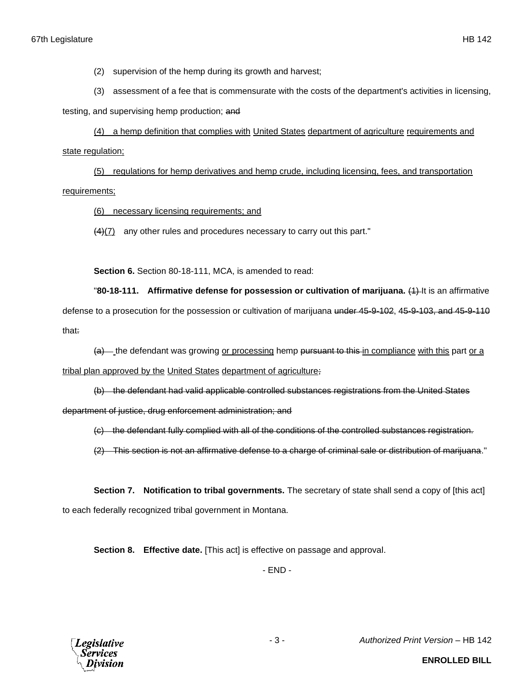(2) supervision of the hemp during its growth and harvest;

(3) assessment of a fee that is commensurate with the costs of the department's activities in licensing,

testing, and supervising hemp production; and

(4) a hemp definition that complies with United States department of agriculture requirements and state regulation;

(5) regulations for hemp derivatives and hemp crude, including licensing, fees, and transportation requirements;

(6) necessary licensing requirements; and

 $(4)(7)$  any other rules and procedures necessary to carry out this part."

**Section 6.** Section 80-18-111, MCA, is amended to read:

"**80-18-111. Affirmative defense for possession or cultivation of marijuana.** (1) It is an affirmative defense to a prosecution for the possession or cultivation of marijuana under 45-9-102, 45-9-103, and 45-9-110 that:

(a) - the defendant was growing or processing hemp pursuant to this in compliance with this part or a tribal plan approved by the United States department of agriculture;

(b) the defendant had valid applicable controlled substances registrations from the United States department of justice, drug enforcement administration; and

(c) the defendant fully complied with all of the conditions of the controlled substances registration.

(2) This section is not an affirmative defense to a charge of criminal sale or distribution of marijuana."

**Section 7. Notification to tribal governments.** The secretary of state shall send a copy of [this act] to each federally recognized tribal government in Montana.

**Section 8. Effective date.** [This act] is effective on passage and approval.

- END -



- 3 - *Authorized Print Version* – HB 142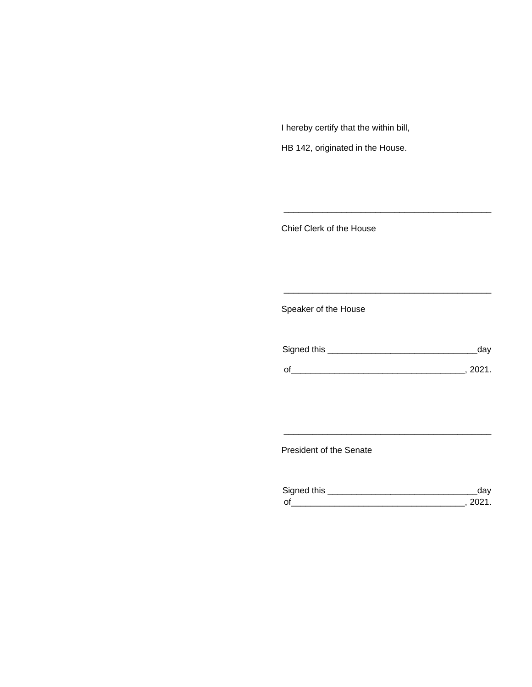I hereby certify that the within bill,

HB 142, originated in the House.

Chief Clerk of the House

Speaker of the House

| Signed this | dav    |
|-------------|--------|
| $\Omega$    | - 2021 |

\_\_\_\_\_\_\_\_\_\_\_\_\_\_\_\_\_\_\_\_\_\_\_\_\_\_\_\_\_\_\_\_\_\_\_\_\_\_\_\_\_\_\_

\_\_\_\_\_\_\_\_\_\_\_\_\_\_\_\_\_\_\_\_\_\_\_\_\_\_\_\_\_\_\_\_\_\_\_\_\_\_\_\_\_\_\_

President of the Senate

| Sianed this |  |
|-------------|--|
| $\Omega$    |  |

\_\_\_\_\_\_\_\_\_\_\_\_\_\_\_\_\_\_\_\_\_\_\_\_\_\_\_\_\_\_\_\_\_\_\_\_\_\_\_\_\_\_\_